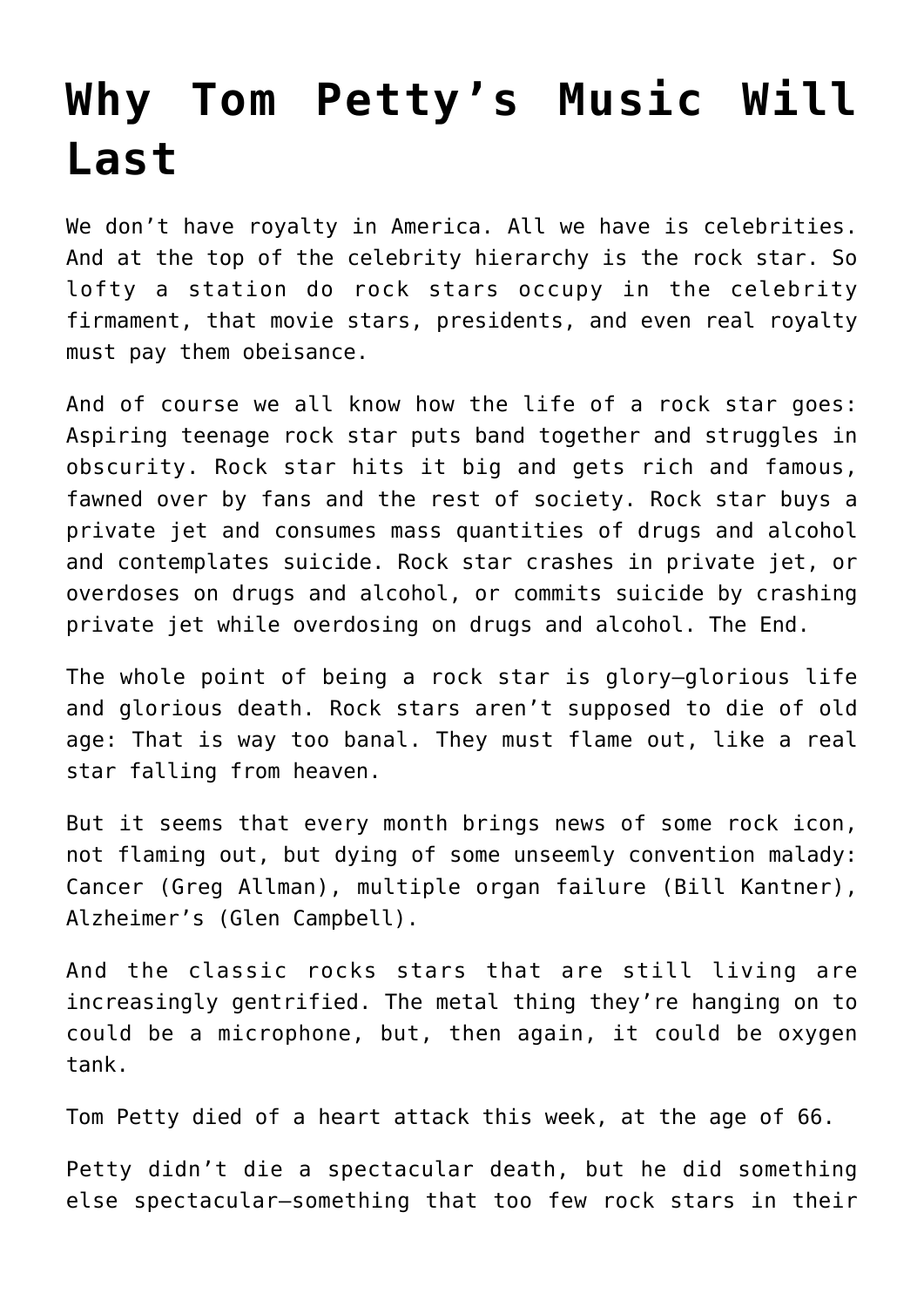## **[Why Tom Petty's Music Will](https://intellectualtakeout.org/2017/10/why-tom-pettys-music-will-last/) [Last](https://intellectualtakeout.org/2017/10/why-tom-pettys-music-will-last/)**

We don't have royalty in America. All we have is celebrities. And at the top of the celebrity hierarchy is the rock star. So lofty a station do rock stars occupy in the celebrity firmament, that movie stars, presidents, and even real royalty must pay them obeisance.

And of course we all know how the life of a rock star goes: Aspiring teenage rock star puts band together and struggles in obscurity. Rock star hits it big and gets rich and famous, fawned over by fans and the rest of society. Rock star buys a private jet and consumes mass quantities of drugs and alcohol and contemplates suicide. Rock star crashes in private jet, or overdoses on drugs and alcohol, or commits suicide by crashing private jet while overdosing on drugs and alcohol. The End.

The whole point of being a rock star is glory—glorious life and glorious death. Rock stars aren't supposed to die of old age: That is way too banal. They must flame out, like a real star falling from heaven.

But it seems that every month brings news of some rock icon, not flaming out, but dying of some unseemly convention malady: Cancer (Greg Allman), multiple organ failure (Bill Kantner), Alzheimer's (Glen Campbell).

And the classic rocks stars that are still living are increasingly gentrified. The metal thing they're hanging on to could be a microphone, but, then again, it could be oxygen tank.

Tom Petty died of a heart attack this week, at the age of 66.

Petty didn't die a spectacular death, but he did something else spectacular—something that too few rock stars in their